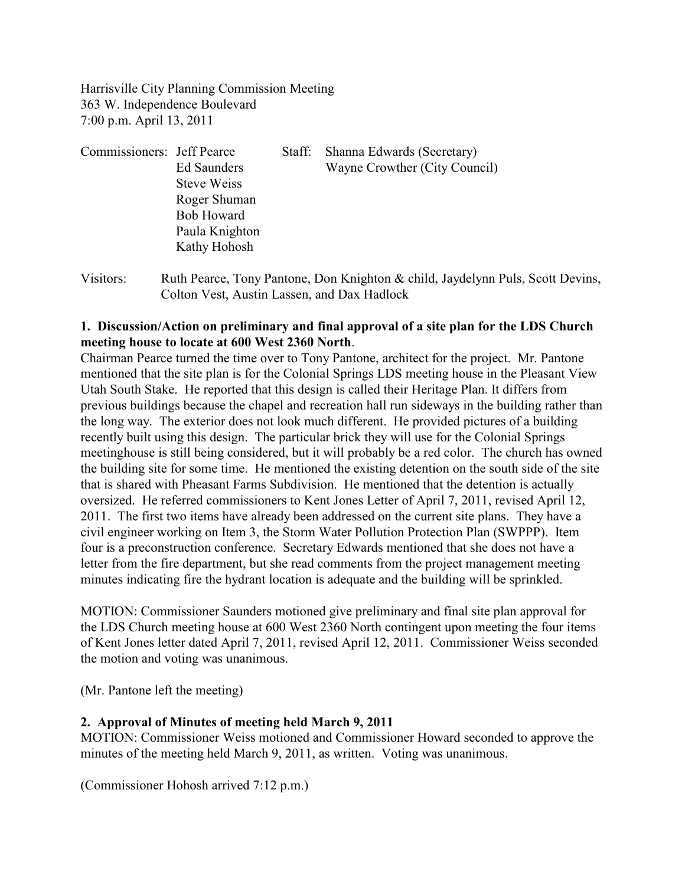Harrisville City Planning Commission Meeting 363 W. Independence Boulevard 7:00 p.m. April 13, 2011

| Commissioners: Jeff Pearce |                    | Staff: | Shanna Edwards (Secretary)    |
|----------------------------|--------------------|--------|-------------------------------|
|                            | Ed Saunders        |        | Wayne Crowther (City Council) |
|                            | <b>Steve Weiss</b> |        |                               |
|                            | Roger Shuman       |        |                               |
|                            | <b>Bob Howard</b>  |        |                               |
|                            | Paula Knighton     |        |                               |
|                            | Kathy Hohosh       |        |                               |
|                            |                    |        |                               |

Visitors: Ruth Pearce, Tony Pantone, Don Knighton & child, Jaydelynn Puls, Scott Devins, Colton Vest, Austin Lassen, and Dax Hadlock

## **1. Discussion/Action on preliminary and final approval of a site plan for the LDS Church meeting house to locate at 600 West 2360 North**.

Chairman Pearce turned the time over to Tony Pantone, architect for the project. Mr. Pantone mentioned that the site plan is for the Colonial Springs LDS meeting house in the Pleasant View Utah South Stake. He reported that this design is called their Heritage Plan. It differs from previous buildings because the chapel and recreation hall run sideways in the building rather than the long way. The exterior does not look much different. He provided pictures of a building recently built using this design. The particular brick they will use for the Colonial Springs meetinghouse is still being considered, but it will probably be a red color. The church has owned the building site for some time. He mentioned the existing detention on the south side of the site that is shared with Pheasant Farms Subdivision. He mentioned that the detention is actually oversized. He referred commissioners to Kent Jones Letter of April 7, 2011, revised April 12, 2011. The first two items have already been addressed on the current site plans. They have a civil engineer working on Item 3, the Storm Water Pollution Protection Plan (SWPPP). Item four is a preconstruction conference. Secretary Edwards mentioned that she does not have a letter from the fire department, but she read comments from the project management meeting minutes indicating fire the hydrant location is adequate and the building will be sprinkled.

MOTION: Commissioner Saunders motioned give preliminary and final site plan approval for the LDS Church meeting house at 600 West 2360 North contingent upon meeting the four items of Kent Jones letter dated April 7, 2011, revised April 12, 2011. Commissioner Weiss seconded the motion and voting was unanimous.

(Mr. Pantone left the meeting)

# **2. Approval of Minutes of meeting held March 9, 2011**

MOTION: Commissioner Weiss motioned and Commissioner Howard seconded to approve the minutes of the meeting held March 9, 2011, as written. Voting was unanimous.

(Commissioner Hohosh arrived 7:12 p.m.)